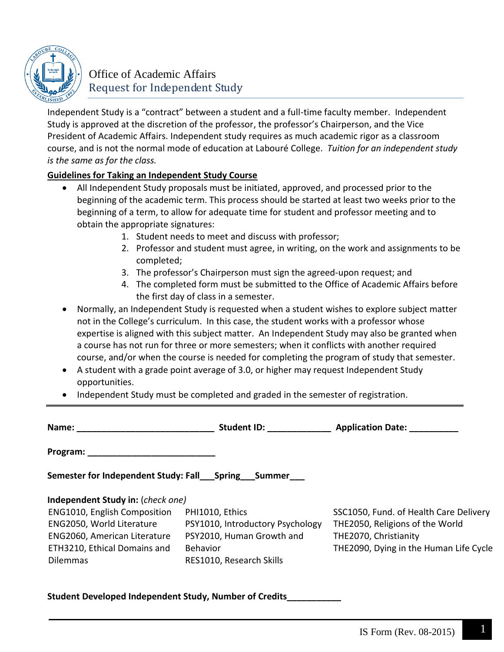

## Office of Academic Affairs Request for Independent Study

Independent Study is a "contract" between a student and a full-time faculty member. Independent Study is approved at the discretion of the professor, the professor's Chairperson, and the Vice President of Academic Affairs. Independent study requires as much academic rigor as a classroom course, and is not the normal mode of education at Labouré College. *Tuition for an independent study is the same as for the class.*

## **Guidelines for Taking an Independent Study Course**

- All Independent Study proposals must be initiated, approved, and processed prior to the beginning of the academic term. This process should be started at least two weeks prior to the beginning of a term, to allow for adequate time for student and professor meeting and to obtain the appropriate signatures:
	- 1. Student needs to meet and discuss with professor;
	- 2. Professor and student must agree, in writing, on the work and assignments to be completed;
	- 3. The professor's Chairperson must sign the agreed-upon request; and
	- 4. The completed form must be submitted to the Office of Academic Affairs before the first day of class in a semester.
- Normally, an Independent Study is requested when a student wishes to explore subject matter not in the College's curriculum. In this case, the student works with a professor whose expertise is aligned with this subject matter. An Independent Study may also be granted when a course has not run for three or more semesters; when it conflicts with another required course, and/or when the course is needed for completing the program of study that semester.
- A student with a grade point average of 3.0, or higher may request Independent Study opportunities.
- Independent Study must be completed and graded in the semester of registration.

| Name: Name                                                                                                                                                                        | Student ID: The Student ID:                                                                                                     | <b>Application Date:</b>                                                                                                                     |  |  |  |
|-----------------------------------------------------------------------------------------------------------------------------------------------------------------------------------|---------------------------------------------------------------------------------------------------------------------------------|----------------------------------------------------------------------------------------------------------------------------------------------|--|--|--|
| Program:                                                                                                                                                                          |                                                                                                                                 |                                                                                                                                              |  |  |  |
| Semester for Independent Study: Fall_Spring_Summer_                                                                                                                               |                                                                                                                                 |                                                                                                                                              |  |  |  |
| Independent Study in: (check one)<br>ENG1010, English Composition<br>ENG2050, World Literature<br>ENG2060, American Literature<br>ETH3210, Ethical Domains and<br><b>Dilemmas</b> | PHI1010, Ethics<br>PSY1010, Introductory Psychology<br>PSY2010, Human Growth and<br><b>Behavior</b><br>RES1010, Research Skills | SSC1050, Fund. of Health Care Delivery<br>THE2050, Religions of the World<br>THE2070, Christianity<br>THE2090, Dying in the Human Life Cycle |  |  |  |

**Student Developed Independent Study, Number of Credits\_\_\_\_\_\_\_\_\_\_\_**